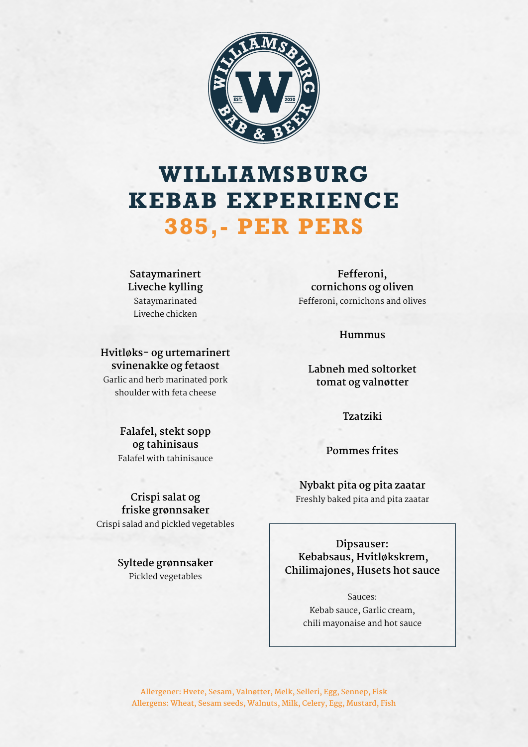

## **WILLIAMSBURG KEBAB EXPERIENCE 385,- PER PERS**

**Sataymarinert Liveche kylling**  Sataymarinated Liveche chicken

**svinenakke og fetaost**

shoulder with feta cheese

**Fefferoni, cornichons og oliven**  Fefferoni, cornichons and olives

**Hummus** 

**Labneh med soltorket tomat og valnøtter**

**Tzatziki** 

**Pommes frites** 

**Nybakt pita og pita zaatar**  Freshly baked pita and pita zaatar

**Dipsauser: Kebabsaus, Hvitløkskrem, Chilimajones, Husets hot sauce** 

> Sauces: Kebab sauce, Garlic cream, chili mayonaise and hot sauce

**Allergener: Hvete, Sesam, Valnøtter, Melk, Selleri, Egg, Sennep, Fisk Allergens: Wheat, Sesam seeds, Walnuts, Milk, Celery, Egg, Mustard, Fish**

**Hvitløks- og urtemarinert** 

Garlic and herb marinated pork

**Falafel, stekt sopp og tahinisaus**  Falafel with tahinisauce

**Crispi salat og friske grønnsaker**  Crispi salad and pickled vegetables

> **Syltede grønnsaker**  Pickled vegetables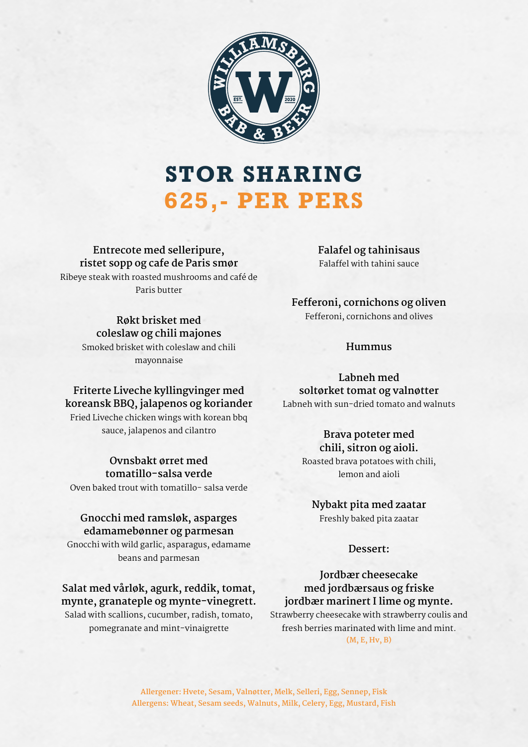

## **STOR SHARING 625,- PER PERS**

**Entrecote med selleripure, ristet sopp og cafe de Paris smør**  Ribeye steak with roasted mushrooms and café de Paris butter

> **Røkt brisket med coleslaw og chili majones** Smoked brisket with coleslaw and chili mayonnaise

## **Friterte Liveche kyllingvinger med koreansk BBQ, jalapenos og koriander**

Fried Liveche chicken wings with korean bbq sauce, jalapenos and cilantro

## **Ovnsbakt ørret med tomatillo-salsa verde**

Oven baked trout with tomatillo- salsa verde

## **Gnocchi med ramsløk, asparges edamamebønner og parmesan**

Gnocchi with wild garlic, asparagus, edamame beans and parmesan

## **Salat med vårløk, agurk, reddik, tomat, mynte, granateple og mynte-vinegrett.**

Salad with scallions, cucumber, radish, tomato, pomegranate and mint-vinaigrette

**Falafel og tahinisaus**  Falaffel with tahini sauce

**Fefferoni, cornichons og oliven**  Fefferoni, cornichons and olives

### **Hummus**

**Labneh med soltørket tomat og valnøtter**  Labneh with sun-dried tomato and walnuts

## **Brava poteter med**

**chili, sitron og aioli.**  Roasted brava potatoes with chili, lemon and aioli

## **Nybakt pita med zaatar**

Freshly baked pita zaatar

#### **Dessert:**

## **Jordbær cheesecake med jordbærsaus og friske jordbær marinert I lime og mynte.**

Strawberry cheesecake with strawberry coulis and fresh berries marinated with lime and mint. **(M, E, Hv, B)**

**Allergener: Hvete, Sesam, Valnøtter, Melk, Selleri, Egg, Sennep, Fisk Allergens: Wheat, Sesam seeds, Walnuts, Milk, Celery, Egg, Mustard, Fish**